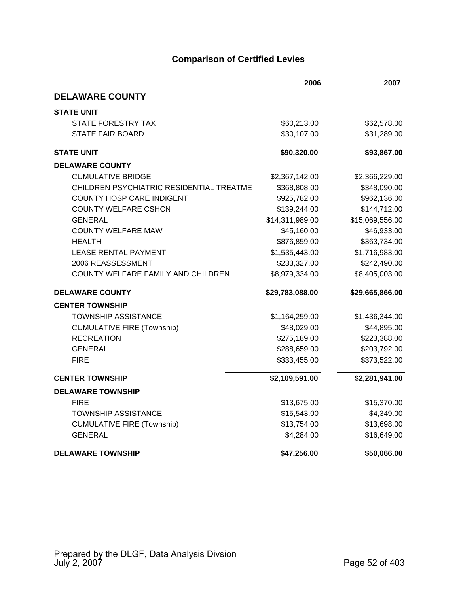|                                          | 2006            | 2007            |
|------------------------------------------|-----------------|-----------------|
| <b>DELAWARE COUNTY</b>                   |                 |                 |
| <b>STATE UNIT</b>                        |                 |                 |
| STATE FORESTRY TAX                       | \$60,213.00     | \$62,578.00     |
| <b>STATE FAIR BOARD</b>                  | \$30,107.00     | \$31,289.00     |
| <b>STATE UNIT</b>                        | \$90,320.00     | \$93,867.00     |
| <b>DELAWARE COUNTY</b>                   |                 |                 |
| <b>CUMULATIVE BRIDGE</b>                 | \$2,367,142.00  | \$2,366,229.00  |
| CHILDREN PSYCHIATRIC RESIDENTIAL TREATME | \$368,808.00    | \$348,090.00    |
| <b>COUNTY HOSP CARE INDIGENT</b>         | \$925,782.00    | \$962,136.00    |
| <b>COUNTY WELFARE CSHCN</b>              | \$139,244.00    | \$144,712.00    |
| <b>GENERAL</b>                           | \$14,311,989.00 | \$15,069,556.00 |
| <b>COUNTY WELFARE MAW</b>                | \$45,160.00     | \$46,933.00     |
| <b>HEALTH</b>                            | \$876,859.00    | \$363,734.00    |
| <b>LEASE RENTAL PAYMENT</b>              | \$1,535,443.00  | \$1,716,983.00  |
| 2006 REASSESSMENT                        | \$233,327.00    | \$242,490.00    |
| COUNTY WELFARE FAMILY AND CHILDREN       | \$8,979,334.00  | \$8,405,003.00  |
| <b>DELAWARE COUNTY</b>                   | \$29,783,088.00 | \$29,665,866.00 |
| <b>CENTER TOWNSHIP</b>                   |                 |                 |
| <b>TOWNSHIP ASSISTANCE</b>               | \$1,164,259.00  | \$1,436,344.00  |
| <b>CUMULATIVE FIRE (Township)</b>        | \$48,029.00     | \$44,895.00     |
| <b>RECREATION</b>                        | \$275,189.00    | \$223,388.00    |
| <b>GENERAL</b>                           | \$288,659.00    | \$203,792.00    |
| <b>FIRE</b>                              | \$333,455.00    | \$373,522.00    |
| <b>CENTER TOWNSHIP</b>                   | \$2,109,591.00  | \$2,281,941.00  |
| <b>DELAWARE TOWNSHIP</b>                 |                 |                 |
| <b>FIRE</b>                              | \$13,675.00     | \$15,370.00     |
| <b>TOWNSHIP ASSISTANCE</b>               | \$15,543.00     | \$4,349.00      |
| <b>CUMULATIVE FIRE (Township)</b>        | \$13,754.00     | \$13,698.00     |
| <b>GENERAL</b>                           | \$4,284.00      | \$16,649.00     |
| <b>DELAWARE TOWNSHIP</b>                 | \$47,256.00     | \$50,066.00     |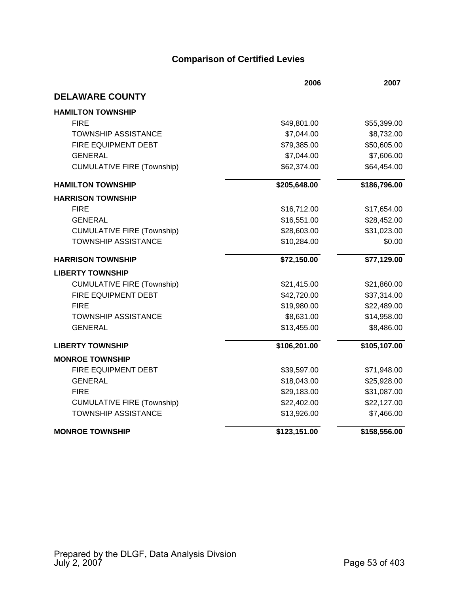|                                   | 2006         | 2007         |
|-----------------------------------|--------------|--------------|
| <b>DELAWARE COUNTY</b>            |              |              |
| <b>HAMILTON TOWNSHIP</b>          |              |              |
| <b>FIRE</b>                       | \$49,801.00  | \$55,399.00  |
| <b>TOWNSHIP ASSISTANCE</b>        | \$7,044.00   | \$8,732.00   |
| FIRE EQUIPMENT DEBT               | \$79,385.00  | \$50,605.00  |
| <b>GENERAL</b>                    | \$7,044.00   | \$7,606.00   |
| <b>CUMULATIVE FIRE (Township)</b> | \$62,374.00  | \$64,454.00  |
| <b>HAMILTON TOWNSHIP</b>          | \$205,648.00 | \$186,796.00 |
| <b>HARRISON TOWNSHIP</b>          |              |              |
| <b>FIRE</b>                       | \$16,712.00  | \$17,654.00  |
| <b>GENERAL</b>                    | \$16,551.00  | \$28,452.00  |
| <b>CUMULATIVE FIRE (Township)</b> | \$28,603.00  | \$31,023.00  |
| <b>TOWNSHIP ASSISTANCE</b>        | \$10,284.00  | \$0.00       |
| <b>HARRISON TOWNSHIP</b>          | \$72,150.00  | \$77,129.00  |
| <b>LIBERTY TOWNSHIP</b>           |              |              |
| <b>CUMULATIVE FIRE (Township)</b> | \$21,415.00  | \$21,860.00  |
| <b>FIRE EQUIPMENT DEBT</b>        | \$42,720.00  | \$37,314.00  |
| <b>FIRE</b>                       | \$19,980.00  | \$22,489.00  |
| <b>TOWNSHIP ASSISTANCE</b>        | \$8,631.00   | \$14,958.00  |
| <b>GENERAL</b>                    | \$13,455.00  | \$8,486.00   |
| <b>LIBERTY TOWNSHIP</b>           | \$106,201.00 | \$105,107.00 |
| <b>MONROE TOWNSHIP</b>            |              |              |
| FIRE EQUIPMENT DEBT               | \$39,597.00  | \$71,948.00  |
| <b>GENERAL</b>                    | \$18,043.00  | \$25,928.00  |
| <b>FIRE</b>                       | \$29,183.00  | \$31,087.00  |
| <b>CUMULATIVE FIRE (Township)</b> | \$22,402.00  | \$22,127.00  |
| <b>TOWNSHIP ASSISTANCE</b>        | \$13,926.00  | \$7,466.00   |
| <b>MONROE TOWNSHIP</b>            | \$123,151.00 | \$158,556.00 |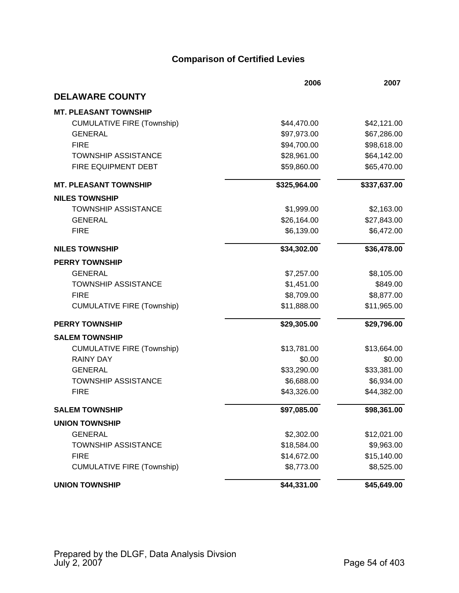|                                   | 2006         | 2007         |
|-----------------------------------|--------------|--------------|
| <b>DELAWARE COUNTY</b>            |              |              |
| <b>MT. PLEASANT TOWNSHIP</b>      |              |              |
| <b>CUMULATIVE FIRE (Township)</b> | \$44,470.00  | \$42,121.00  |
| <b>GENERAL</b>                    | \$97,973.00  | \$67,286.00  |
| <b>FIRE</b>                       | \$94,700.00  | \$98,618.00  |
| <b>TOWNSHIP ASSISTANCE</b>        | \$28,961.00  | \$64,142.00  |
| FIRE EQUIPMENT DEBT               | \$59,860.00  | \$65,470.00  |
| <b>MT. PLEASANT TOWNSHIP</b>      | \$325,964.00 | \$337,637.00 |
| <b>NILES TOWNSHIP</b>             |              |              |
| <b>TOWNSHIP ASSISTANCE</b>        | \$1,999.00   | \$2,163.00   |
| <b>GENERAL</b>                    | \$26,164.00  | \$27,843.00  |
| <b>FIRE</b>                       | \$6,139.00   | \$6,472.00   |
| <b>NILES TOWNSHIP</b>             | \$34,302.00  | \$36,478.00  |
| <b>PERRY TOWNSHIP</b>             |              |              |
| <b>GENERAL</b>                    | \$7,257.00   | \$8,105.00   |
| <b>TOWNSHIP ASSISTANCE</b>        | \$1,451.00   | \$849.00     |
| <b>FIRE</b>                       | \$8,709.00   | \$8,877.00   |
| <b>CUMULATIVE FIRE (Township)</b> | \$11,888.00  | \$11,965.00  |
| <b>PERRY TOWNSHIP</b>             | \$29,305.00  | \$29,796.00  |
| <b>SALEM TOWNSHIP</b>             |              |              |
| <b>CUMULATIVE FIRE (Township)</b> | \$13,781.00  | \$13,664.00  |
| <b>RAINY DAY</b>                  | \$0.00       | \$0.00       |
| <b>GENERAL</b>                    | \$33,290.00  | \$33,381.00  |
| <b>TOWNSHIP ASSISTANCE</b>        | \$6,688.00   | \$6,934.00   |
| <b>FIRE</b>                       | \$43,326.00  | \$44,382.00  |
| <b>SALEM TOWNSHIP</b>             | \$97,085.00  | \$98,361.00  |
| <b>UNION TOWNSHIP</b>             |              |              |
| <b>GENERAL</b>                    | \$2,302.00   | \$12,021.00  |
| <b>TOWNSHIP ASSISTANCE</b>        | \$18,584.00  | \$9,963.00   |
| <b>FIRE</b>                       | \$14,672.00  | \$15,140.00  |
| <b>CUMULATIVE FIRE (Township)</b> | \$8,773.00   | \$8,525.00   |
| <b>UNION TOWNSHIP</b>             | \$44,331.00  | \$45,649.00  |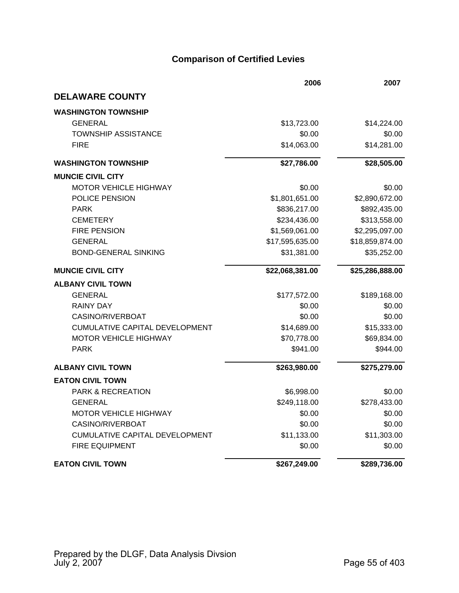|                                       | 2006            | 2007            |
|---------------------------------------|-----------------|-----------------|
| <b>DELAWARE COUNTY</b>                |                 |                 |
| <b>WASHINGTON TOWNSHIP</b>            |                 |                 |
| <b>GENERAL</b>                        | \$13,723.00     | \$14,224.00     |
| <b>TOWNSHIP ASSISTANCE</b>            | \$0.00          | \$0.00          |
| <b>FIRE</b>                           | \$14,063.00     | \$14,281.00     |
| <b>WASHINGTON TOWNSHIP</b>            | \$27,786.00     | \$28,505.00     |
| <b>MUNCIE CIVIL CITY</b>              |                 |                 |
| <b>MOTOR VEHICLE HIGHWAY</b>          | \$0.00          | \$0.00          |
| POLICE PENSION                        | \$1,801,651.00  | \$2,890,672.00  |
| <b>PARK</b>                           | \$836,217.00    | \$892,435.00    |
| <b>CEMETERY</b>                       | \$234,436.00    | \$313,558.00    |
| <b>FIRE PENSION</b>                   | \$1,569,061.00  | \$2,295,097.00  |
| <b>GENERAL</b>                        | \$17,595,635.00 | \$18,859,874.00 |
| <b>BOND-GENERAL SINKING</b>           | \$31,381.00     | \$35,252.00     |
| <b>MUNCIE CIVIL CITY</b>              | \$22,068,381.00 | \$25,286,888.00 |
| <b>ALBANY CIVIL TOWN</b>              |                 |                 |
| <b>GENERAL</b>                        | \$177,572.00    | \$189,168.00    |
| <b>RAINY DAY</b>                      | \$0.00          | \$0.00          |
| CASINO/RIVERBOAT                      | \$0.00          | \$0.00          |
| <b>CUMULATIVE CAPITAL DEVELOPMENT</b> | \$14,689.00     | \$15,333.00     |
| <b>MOTOR VEHICLE HIGHWAY</b>          | \$70,778.00     | \$69,834.00     |
| <b>PARK</b>                           | \$941.00        | \$944.00        |
| <b>ALBANY CIVIL TOWN</b>              | \$263,980.00    | \$275,279.00    |
| <b>EATON CIVIL TOWN</b>               |                 |                 |
| <b>PARK &amp; RECREATION</b>          | \$6,998.00      | \$0.00          |
| <b>GENERAL</b>                        | \$249,118.00    | \$278,433.00    |
| MOTOR VEHICLE HIGHWAY                 | \$0.00          | \$0.00          |
| CASINO/RIVERBOAT                      | \$0.00          | \$0.00          |
| CUMULATIVE CAPITAL DEVELOPMENT        | \$11,133.00     | \$11,303.00     |
| <b>FIRE EQUIPMENT</b>                 | \$0.00          | \$0.00          |
| <b>EATON CIVIL TOWN</b>               | \$267,249.00    | \$289,736.00    |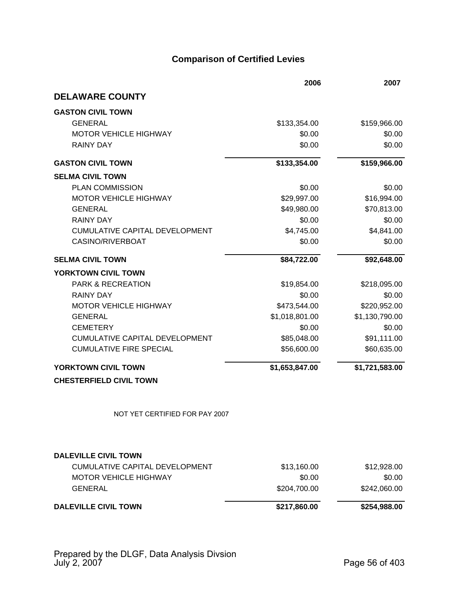|                                       | 2006           | 2007           |
|---------------------------------------|----------------|----------------|
| <b>DELAWARE COUNTY</b>                |                |                |
| <b>GASTON CIVIL TOWN</b>              |                |                |
| <b>GENERAL</b>                        | \$133,354.00   | \$159,966.00   |
| <b>MOTOR VEHICLE HIGHWAY</b>          | \$0.00         | \$0.00         |
| <b>RAINY DAY</b>                      | \$0.00         | \$0.00         |
| <b>GASTON CIVIL TOWN</b>              | \$133,354.00   | \$159,966.00   |
| <b>SELMA CIVIL TOWN</b>               |                |                |
| <b>PLAN COMMISSION</b>                | \$0.00         | \$0.00         |
| <b>MOTOR VEHICLE HIGHWAY</b>          | \$29,997.00    | \$16,994.00    |
| <b>GENERAL</b>                        | \$49,980.00    | \$70,813.00    |
| <b>RAINY DAY</b>                      | \$0.00         | \$0.00         |
| <b>CUMULATIVE CAPITAL DEVELOPMENT</b> | \$4,745.00     | \$4,841.00     |
| CASINO/RIVERBOAT                      | \$0.00         | \$0.00         |
| <b>SELMA CIVIL TOWN</b>               | \$84,722.00    | \$92,648.00    |
| YORKTOWN CIVIL TOWN                   |                |                |
| <b>PARK &amp; RECREATION</b>          | \$19,854.00    | \$218,095.00   |
| <b>RAINY DAY</b>                      | \$0.00         | \$0.00         |
| <b>MOTOR VEHICLE HIGHWAY</b>          | \$473,544.00   | \$220,952.00   |
| <b>GENERAL</b>                        | \$1,018,801.00 | \$1,130,790.00 |
| <b>CEMETERY</b>                       | \$0.00         | \$0.00         |
| <b>CUMULATIVE CAPITAL DEVELOPMENT</b> | \$85,048.00    | \$91,111.00    |
| <b>CUMULATIVE FIRE SPECIAL</b>        | \$56,600.00    | \$60,635.00    |
| YORKTOWN CIVIL TOWN                   | \$1,653,847.00 | \$1,721,583.00 |
| <b>CHESTERFIELD CIVIL TOWN</b>        |                |                |
| NOT YET CERTIFIED FOR PAY 2007        |                |                |
|                                       |                |                |
| <b>DALEVILLE CIVIL TOWN</b>           |                |                |
| <b>CUMULATIVE CAPITAL DEVELOPMENT</b> | \$13,160.00    | \$12,928.00    |
| <b>MOTOR VEHICLE HIGHWAY</b>          | \$0.00         | \$0.00         |
| <b>GENERAL</b>                        | \$204,700.00   | \$242,060.00   |
| <b>DALEVILLE CIVIL TOWN</b>           | \$217,860.00   | \$254,988.00   |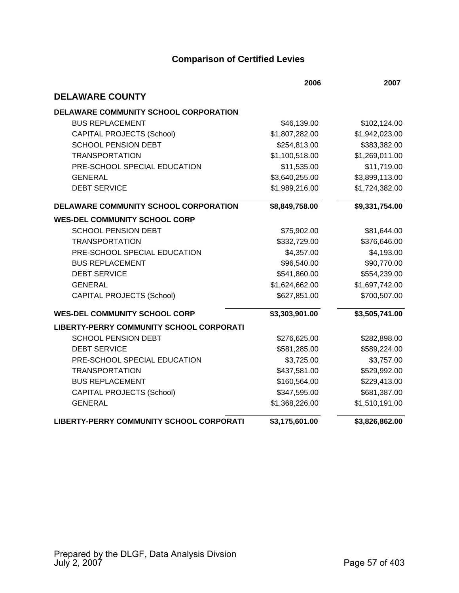|                                                 | 2006           | 2007           |
|-------------------------------------------------|----------------|----------------|
| <b>DELAWARE COUNTY</b>                          |                |                |
| DELAWARE COMMUNITY SCHOOL CORPORATION           |                |                |
| <b>BUS REPLACEMENT</b>                          | \$46,139.00    | \$102,124.00   |
| <b>CAPITAL PROJECTS (School)</b>                | \$1,807,282.00 | \$1,942,023.00 |
| <b>SCHOOL PENSION DEBT</b>                      | \$254,813.00   | \$383,382.00   |
| <b>TRANSPORTATION</b>                           | \$1,100,518.00 | \$1,269,011.00 |
| PRE-SCHOOL SPECIAL EDUCATION                    | \$11,535.00    | \$11,719.00    |
| <b>GENERAL</b>                                  | \$3,640,255.00 | \$3,899,113.00 |
| <b>DEBT SERVICE</b>                             | \$1,989,216.00 | \$1,724,382.00 |
| DELAWARE COMMUNITY SCHOOL CORPORATION           | \$8,849,758.00 | \$9,331,754.00 |
| <b>WES-DEL COMMUNITY SCHOOL CORP</b>            |                |                |
| <b>SCHOOL PENSION DEBT</b>                      | \$75,902.00    | \$81,644.00    |
| <b>TRANSPORTATION</b>                           | \$332,729.00   | \$376,646.00   |
| PRE-SCHOOL SPECIAL EDUCATION                    | \$4,357.00     | \$4,193.00     |
| <b>BUS REPLACEMENT</b>                          | \$96,540.00    | \$90,770.00    |
| <b>DEBT SERVICE</b>                             | \$541,860.00   | \$554,239.00   |
| <b>GENERAL</b>                                  | \$1,624,662.00 | \$1,697,742.00 |
| <b>CAPITAL PROJECTS (School)</b>                | \$627,851.00   | \$700,507.00   |
| <b>WES-DEL COMMUNITY SCHOOL CORP</b>            | \$3,303,901.00 | \$3,505,741.00 |
| <b>LIBERTY-PERRY COMMUNITY SCHOOL CORPORATI</b> |                |                |
| <b>SCHOOL PENSION DEBT</b>                      | \$276,625.00   | \$282,898.00   |
| <b>DEBT SERVICE</b>                             | \$581,285.00   | \$589,224.00   |
| PRE-SCHOOL SPECIAL EDUCATION                    | \$3,725.00     | \$3,757.00     |
| <b>TRANSPORTATION</b>                           | \$437,581.00   | \$529,992.00   |
| <b>BUS REPLACEMENT</b>                          | \$160,564.00   | \$229,413.00   |
| <b>CAPITAL PROJECTS (School)</b>                | \$347,595.00   | \$681,387.00   |
| <b>GENERAL</b>                                  | \$1,368,226.00 | \$1,510,191.00 |
| LIBERTY-PERRY COMMUNITY SCHOOL CORPORATI        | \$3,175,601.00 | \$3,826,862.00 |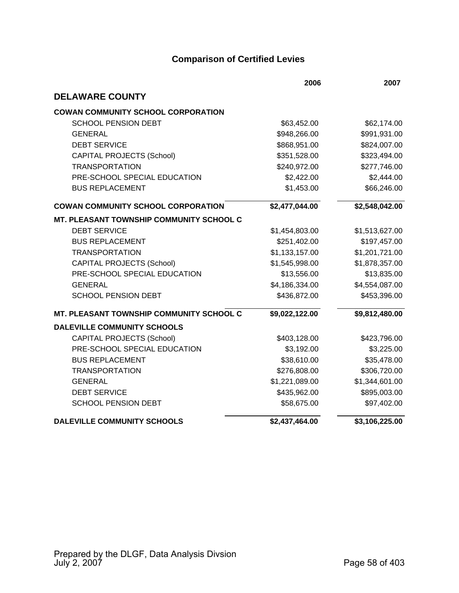|                                                 | 2006           | 2007           |
|-------------------------------------------------|----------------|----------------|
| <b>DELAWARE COUNTY</b>                          |                |                |
| <b>COWAN COMMUNITY SCHOOL CORPORATION</b>       |                |                |
| <b>SCHOOL PENSION DEBT</b>                      | \$63,452.00    | \$62,174.00    |
| <b>GENERAL</b>                                  | \$948,266.00   | \$991,931.00   |
| <b>DEBT SERVICE</b>                             | \$868,951.00   | \$824,007.00   |
| <b>CAPITAL PROJECTS (School)</b>                | \$351,528.00   | \$323,494.00   |
| <b>TRANSPORTATION</b>                           | \$240,972.00   | \$277,746.00   |
| PRE-SCHOOL SPECIAL EDUCATION                    | \$2,422.00     | \$2,444.00     |
| <b>BUS REPLACEMENT</b>                          | \$1,453.00     | \$66,246.00    |
| <b>COWAN COMMUNITY SCHOOL CORPORATION</b>       | \$2,477,044.00 | \$2,548,042.00 |
| <b>MT. PLEASANT TOWNSHIP COMMUNITY SCHOOL C</b> |                |                |
| <b>DEBT SERVICE</b>                             | \$1,454,803.00 | \$1,513,627.00 |
| <b>BUS REPLACEMENT</b>                          | \$251,402.00   | \$197,457.00   |
| <b>TRANSPORTATION</b>                           | \$1,133,157.00 | \$1,201,721.00 |
| <b>CAPITAL PROJECTS (School)</b>                | \$1,545,998.00 | \$1,878,357.00 |
| PRE-SCHOOL SPECIAL EDUCATION                    | \$13,556.00    | \$13,835.00    |
| <b>GENERAL</b>                                  | \$4,186,334.00 | \$4,554,087.00 |
| <b>SCHOOL PENSION DEBT</b>                      | \$436,872.00   | \$453,396.00   |
| MT. PLEASANT TOWNSHIP COMMUNITY SCHOOL C        | \$9,022,122.00 | \$9,812,480.00 |
| <b>DALEVILLE COMMUNITY SCHOOLS</b>              |                |                |
| <b>CAPITAL PROJECTS (School)</b>                | \$403,128.00   | \$423,796.00   |
| PRE-SCHOOL SPECIAL EDUCATION                    | \$3,192.00     | \$3,225.00     |
| <b>BUS REPLACEMENT</b>                          | \$38,610.00    | \$35,478.00    |
| <b>TRANSPORTATION</b>                           | \$276,808.00   | \$306,720.00   |
| <b>GENERAL</b>                                  | \$1,221,089.00 | \$1,344,601.00 |
| <b>DEBT SERVICE</b>                             | \$435,962.00   | \$895,003.00   |
| <b>SCHOOL PENSION DEBT</b>                      | \$58,675.00    | \$97,402.00    |
| <b>DALEVILLE COMMUNITY SCHOOLS</b>              | \$2,437,464.00 | \$3,106,225.00 |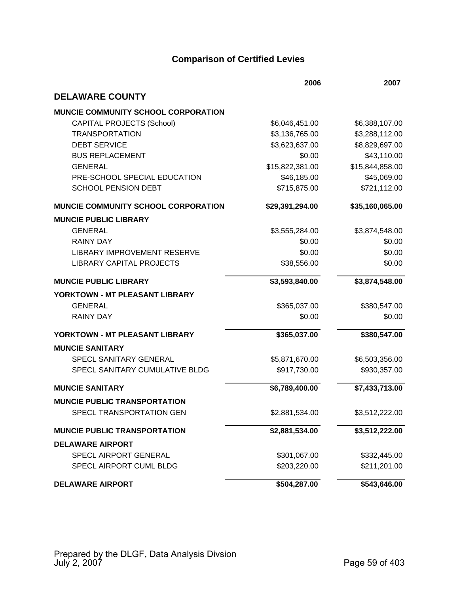|                                     | 2006            | 2007            |
|-------------------------------------|-----------------|-----------------|
| <b>DELAWARE COUNTY</b>              |                 |                 |
| MUNCIE COMMUNITY SCHOOL CORPORATION |                 |                 |
| <b>CAPITAL PROJECTS (School)</b>    | \$6,046,451.00  | \$6,388,107.00  |
| <b>TRANSPORTATION</b>               | \$3,136,765.00  | \$3,288,112.00  |
| <b>DEBT SERVICE</b>                 | \$3,623,637.00  | \$8,829,697.00  |
| <b>BUS REPLACEMENT</b>              | \$0.00          | \$43,110.00     |
| <b>GENERAL</b>                      | \$15,822,381.00 | \$15,844,858.00 |
| PRE-SCHOOL SPECIAL EDUCATION        | \$46,185.00     | \$45,069.00     |
| <b>SCHOOL PENSION DEBT</b>          | \$715,875.00    | \$721,112.00    |
| MUNCIE COMMUNITY SCHOOL CORPORATION | \$29,391,294.00 | \$35,160,065.00 |
| <b>MUNCIE PUBLIC LIBRARY</b>        |                 |                 |
| <b>GENERAL</b>                      | \$3,555,284.00  | \$3,874,548.00  |
| <b>RAINY DAY</b>                    | \$0.00          | \$0.00          |
| <b>LIBRARY IMPROVEMENT RESERVE</b>  | \$0.00          | \$0.00          |
| <b>LIBRARY CAPITAL PROJECTS</b>     | \$38,556.00     | \$0.00          |
| <b>MUNCIE PUBLIC LIBRARY</b>        | \$3,593,840.00  | \$3,874,548.00  |
| YORKTOWN - MT PLEASANT LIBRARY      |                 |                 |
| <b>GENERAL</b>                      | \$365,037.00    | \$380,547.00    |
| <b>RAINY DAY</b>                    | \$0.00          | \$0.00          |
| YORKTOWN - MT PLEASANT LIBRARY      | \$365,037.00    | \$380,547.00    |
| <b>MUNCIE SANITARY</b>              |                 |                 |
| SPECL SANITARY GENERAL              | \$5,871,670.00  | \$6,503,356.00  |
| SPECL SANITARY CUMULATIVE BLDG      | \$917,730.00    | \$930,357.00    |
| <b>MUNCIE SANITARY</b>              | \$6,789,400.00  | \$7,433,713.00  |
| <b>MUNCIE PUBLIC TRANSPORTATION</b> |                 |                 |
| SPECL TRANSPORTATION GEN            | \$2,881,534.00  | \$3,512,222.00  |
| <b>MUNCIE PUBLIC TRANSPORTATION</b> | \$2,881,534.00  | \$3,512,222.00  |
| <b>DELAWARE AIRPORT</b>             |                 |                 |
| <b>SPECL AIRPORT GENERAL</b>        | \$301,067.00    | \$332,445.00    |
| SPECL AIRPORT CUML BLDG             | \$203,220.00    | \$211,201.00    |
| <b>DELAWARE AIRPORT</b>             | \$504,287.00    | \$543,646.00    |